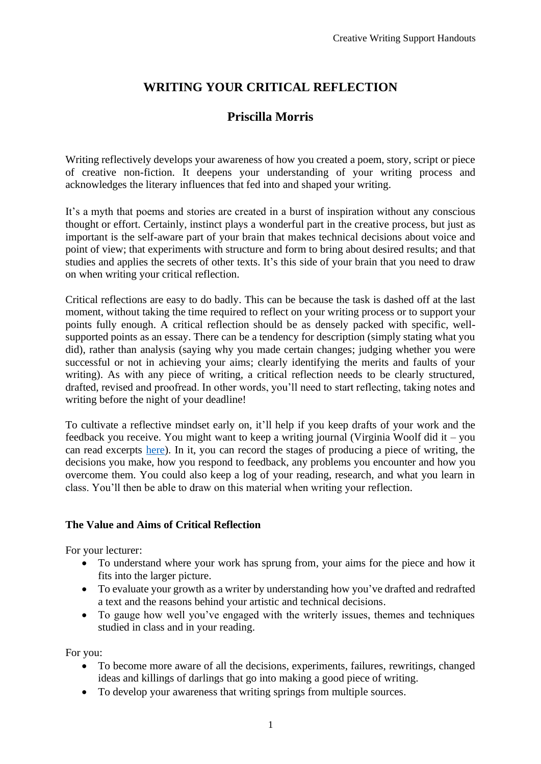# **WRITING YOUR CRITICAL REFLECTION**

# **Priscilla Morris**

Writing reflectively develops your awareness of how you created a poem, story, script or piece of creative non-fiction. It deepens your understanding of your writing process and acknowledges the literary influences that fed into and shaped your writing.

It's a myth that poems and stories are created in a burst of inspiration without any conscious thought or effort. Certainly, instinct plays a wonderful part in the creative process, but just as important is the self-aware part of your brain that makes technical decisions about voice and point of view; that experiments with structure and form to bring about desired results; and that studies and applies the secrets of other texts. It's this side of your brain that you need to draw on when writing your critical reflection.

Critical reflections are easy to do badly. This can be because the task is dashed off at the last moment, without taking the time required to reflect on your writing process or to support your points fully enough. A critical reflection should be as densely packed with specific, wellsupported points as an essay. There can be a tendency for description (simply stating what you did), rather than analysis (saying why you made certain changes; judging whether you were successful or not in achieving your aims; clearly identifying the merits and faults of your writing). As with any piece of writing, a critical reflection needs to be clearly structured, drafted, revised and proofread. In other words, you'll need to start reflecting, taking notes and writing before the night of your deadline!

To cultivate a reflective mindset early on, it'll help if you keep drafts of your work and the feedback you receive. You might want to keep a writing journal (Virginia Woolf did it – you can read excerpts [here\)](http://creativelifestyleblog.com/diary-virginia-woolf-notable-excerpts/). In it, you can record the stages of producing a piece of writing, the decisions you make, how you respond to feedback, any problems you encounter and how you overcome them. You could also keep a log of your reading, research, and what you learn in class. You'll then be able to draw on this material when writing your reflection.

## **The Value and Aims of Critical Reflection**

For your lecturer:

- To understand where your work has sprung from, your aims for the piece and how it fits into the larger picture.
- To evaluate your growth as a writer by understanding how you've drafted and redrafted a text and the reasons behind your artistic and technical decisions.
- To gauge how well you've engaged with the writerly issues, themes and techniques studied in class and in your reading.

For you:

- To become more aware of all the decisions, experiments, failures, rewritings, changed ideas and killings of darlings that go into making a good piece of writing.
- To develop your awareness that writing springs from multiple sources.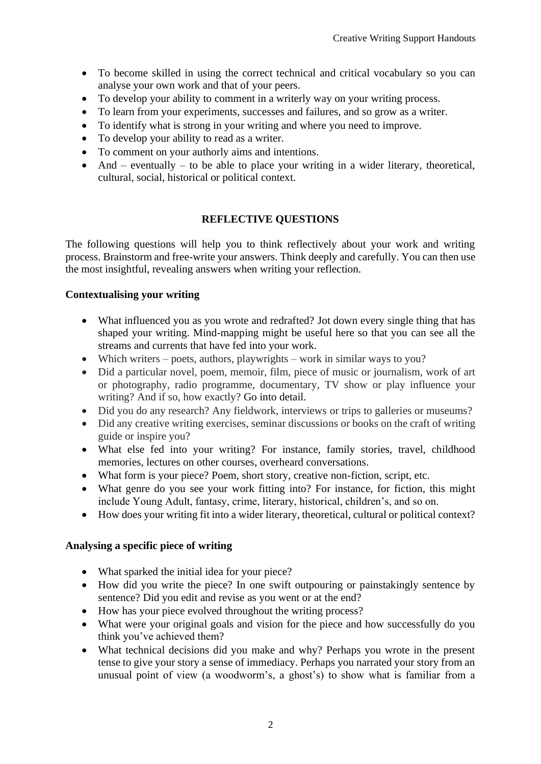- To become skilled in using the correct technical and critical vocabulary so you can analyse your own work and that of your peers.
- To develop your ability to comment in a writerly way on your writing process.
- To learn from your experiments, successes and failures, and so grow as a writer.
- To identify what is strong in your writing and where you need to improve.
- To develop your ability to read as a writer.
- To comment on your authorly aims and intentions.
- And eventually to be able to place your writing in a wider literary, theoretical, cultural, social, historical or political context.

## **REFLECTIVE QUESTIONS**

The following questions will help you to think reflectively about your work and writing process. Brainstorm and free-write your answers. Think deeply and carefully. You can then use the most insightful, revealing answers when writing your reflection.

## **Contextualising your writing**

- What influenced you as you wrote and redrafted? Jot down every single thing that has shaped your writing. Mind-mapping might be useful here so that you can see all the streams and currents that have fed into your work.
- Which writers poets, authors, playwrights work in similar ways to you?
- Did a particular novel, poem, memoir, film, piece of music or journalism, work of art or photography, radio programme, documentary, TV show or play influence your writing? And if so, how exactly? Go into detail.
- Did you do any research? Any fieldwork, interviews or trips to galleries or museums?
- Did any creative writing exercises, seminar discussions or books on the craft of writing guide or inspire you?
- What else fed into your writing? For instance, family stories, travel, childhood memories, lectures on other courses, overheard conversations.
- What form is your piece? Poem, short story, creative non-fiction, script, etc.
- What genre do you see your work fitting into? For instance, for fiction, this might include Young Adult, fantasy, crime, literary, historical, children's, and so on.
- How does your writing fit into a wider literary, theoretical, cultural or political context?

## **Analysing a specific piece of writing**

- What sparked the initial idea for your piece?
- How did you write the piece? In one swift outpouring or painstakingly sentence by sentence? Did you edit and revise as you went or at the end?
- How has your piece evolved throughout the writing process?
- What were your original goals and vision for the piece and how successfully do you think you've achieved them?
- What technical decisions did you make and why? Perhaps you wrote in the present tense to give your story a sense of immediacy. Perhaps you narrated your story from an unusual point of view (a woodworm's, a ghost's) to show what is familiar from a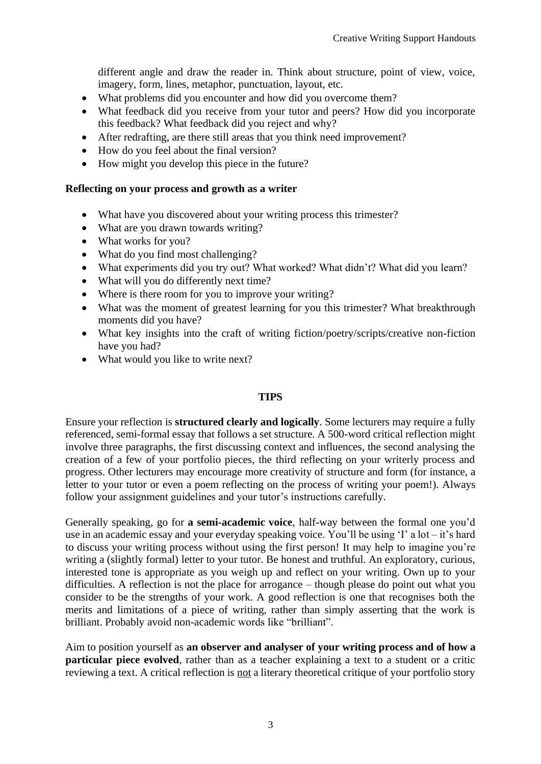different angle and draw the reader in. Think about structure, point of view, voice, imagery, form, lines, metaphor, punctuation, layout, etc.

- What problems did you encounter and how did you overcome them?
- What feedback did you receive from your tutor and peers? How did you incorporate this feedback? What feedback did you reject and why?
- After redrafting, are there still areas that you think need improvement?
- How do you feel about the final version?
- How might you develop this piece in the future?

#### **Reflecting on your process and growth as a writer**

- What have you discovered about your writing process this trimester?
- What are you drawn towards writing?
- What works for you?
- What do you find most challenging?
- What experiments did you try out? What worked? What didn't? What did you learn?
- What will you do differently next time?
- Where is there room for you to improve your writing?
- What was the moment of greatest learning for you this trimester? What breakthrough moments did you have?
- What key insights into the craft of writing fiction/poetry/scripts/creative non-fiction have you had?
- What would you like to write next?

#### **TIPS**

Ensure your reflection is **structured clearly and logically**. Some lecturers may require a fully referenced, semi-formal essay that follows a set structure. A 500-word critical reflection might involve three paragraphs, the first discussing context and influences, the second analysing the creation of a few of your portfolio pieces, the third reflecting on your writerly process and progress. Other lecturers may encourage more creativity of structure and form (for instance, a letter to your tutor or even a poem reflecting on the process of writing your poem!). Always follow your assignment guidelines and your tutor's instructions carefully.

Generally speaking, go for **a semi-academic voice**, half-way between the formal one you'd use in an academic essay and your everyday speaking voice. You'll be using 'I' a lot – it's hard to discuss your writing process without using the first person! It may help to imagine you're writing a (slightly formal) letter to your tutor. Be honest and truthful. An exploratory, curious, interested tone is appropriate as you weigh up and reflect on your writing. Own up to your difficulties. A reflection is not the place for arrogance – though please do point out what you consider to be the strengths of your work. A good reflection is one that recognises both the merits and limitations of a piece of writing, rather than simply asserting that the work is brilliant. Probably avoid non-academic words like "brilliant".

Aim to position yourself as **an observer and analyser of your writing process and of how a particular piece evolved**, rather than as a teacher explaining a text to a student or a critic reviewing a text. A critical reflection is not a literary theoretical critique of your portfolio story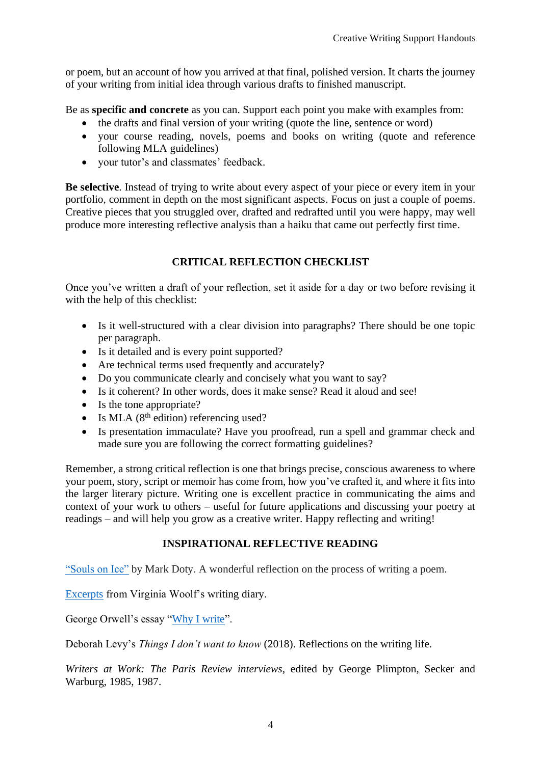or poem, but an account of how you arrived at that final, polished version. It charts the journey of your writing from initial idea through various drafts to finished manuscript.

Be as **specific and concrete** as you can. Support each point you make with examples from:

- the drafts and final version of your writing (quote the line, sentence or word)
- vour course reading, novels, poems and books on writing (quote and reference following MLA guidelines)
- your tutor's and classmates' feedback.

**Be selective**. Instead of trying to write about every aspect of your piece or every item in your portfolio, comment in depth on the most significant aspects. Focus on just a couple of poems. Creative pieces that you struggled over, drafted and redrafted until you were happy, may well produce more interesting reflective analysis than a haiku that came out perfectly first time.

## **CRITICAL REFLECTION CHECKLIST**

Once you've written a draft of your reflection, set it aside for a day or two before revising it with the help of this checklist:

- Is it well-structured with a clear division into paragraphs? There should be one topic per paragraph.
- Is it detailed and is every point supported?
- Are technical terms used frequently and accurately?
- Do you communicate clearly and concisely what you want to say?
- Is it coherent? In other words, does it make sense? Read it aloud and see!
- Is the tone appropriate?
- Is MLA  $(8<sup>th</sup>$  edition) referencing used?
- Is presentation immaculate? Have you proofread, run a spell and grammar check and made sure you are following the correct formatting guidelines?

Remember, a strong critical reflection is one that brings precise, conscious awareness to where your poem, story, script or memoir has come from, how you've crafted it, and where it fits into the larger literary picture. Writing one is excellent practice in communicating the aims and context of your work to others – useful for future applications and discussing your poetry at readings – and will help you grow as a creative writer. Happy reflecting and writing!

## **INSPIRATIONAL REFLECTIVE READING**

["Souls on Ice"](https://poets.org/text/souls-ice) by Mark Doty. A wonderful reflection on the process of writing a poem.

[Excerpts](http://creativelifestyleblog.com/diary-virginia-woolf-notable-excerpts/) from Virginia Woolf's writing diary.

George Orwell's essay ["Why I write"](https://www.orwellfoundation.com/the-orwell-foundation/orwell/essays-and-other-works/why-i-write/).

Deborah Levy's *Things I don't want to know* (2018). Reflections on the writing life.

*Writers at Work: The Paris Review interviews*, edited by George Plimpton, Secker and Warburg, 1985, 1987.